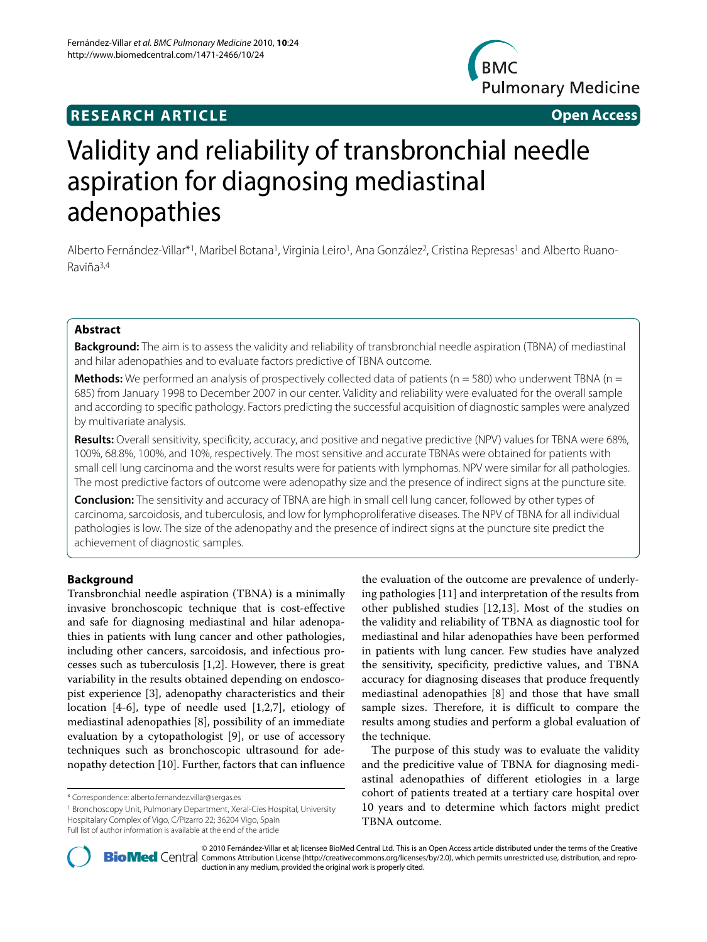# **RESEARCH ARTICLE Open Access**



# Validity and reliability of transbronchial needle aspiration for diagnosing mediastinal adenopathies

Alberto Fernández-Villar<sup>\*1</sup>, Maribel Botana<sup>1</sup>, Virginia Leiro<sup>1</sup>, Ana González<sup>2</sup>, Cristina Represas<sup>1</sup> and Alberto Ruano-Raviña3,4

# **Abstract**

**Background:** The aim is to assess the validity and reliability of transbronchial needle aspiration (TBNA) of mediastinal and hilar adenopathies and to evaluate factors predictive of TBNA outcome.

**Methods:** We performed an analysis of prospectively collected data of patients ( $n = 580$ ) who underwent TBNA ( $n =$ 685) from January 1998 to December 2007 in our center. Validity and reliability were evaluated for the overall sample and according to specific pathology. Factors predicting the successful acquisition of diagnostic samples were analyzed by multivariate analysis.

**Results:** Overall sensitivity, specificity, accuracy, and positive and negative predictive (NPV) values for TBNA were 68%, 100%, 68.8%, 100%, and 10%, respectively. The most sensitive and accurate TBNAs were obtained for patients with small cell lung carcinoma and the worst results were for patients with lymphomas. NPV were similar for all pathologies. The most predictive factors of outcome were adenopathy size and the presence of indirect signs at the puncture site.

**Conclusion:** The sensitivity and accuracy of TBNA are high in small cell lung cancer, followed by other types of carcinoma, sarcoidosis, and tuberculosis, and low for lymphoproliferative diseases. The NPV of TBNA for all individual pathologies is low. The size of the adenopathy and the presence of indirect signs at the puncture site predict the achievement of diagnostic samples.

# **Background**

Transbronchial needle aspiration (TBNA) is a minimally invasive bronchoscopic technique that is cost-effective and safe for diagnosing mediastinal and hilar adenopathies in patients with lung cancer and other pathologies, including other cancers, sarcoidosis, and infectious processes such as tuberculosis [[1](#page-6-0)[,2](#page-6-1)]. However, there is great variability in the results obtained depending on endoscopist experience [[3\]](#page-6-2), adenopathy characteristics and their location [[4-](#page-6-3)[6](#page-6-4)], type of needle used [[1](#page-6-0),[2,](#page-6-1)[7\]](#page-6-5), etiology of mediastinal adenopathies [[8](#page-6-6)], possibility of an immediate evaluation by a cytopathologist [\[9](#page-6-7)], or use of accessory techniques such as bronchoscopic ultrasound for adenopathy detection [[10\]](#page-6-8). Further, factors that can influence

1 Bronchoscopy Unit, Pulmonary Department, Xeral-Cíes Hospital, University Hospitalary Complex of Vigo, C/Pizarro 22; 36204 Vigo, Spain Full list of author information is available at the end of the article

The purpose of this study was to evaluate the validity and the predicitive value of TBNA for diagnosing mediastinal adenopathies of different etiologies in a large cohort of patients treated at a tertiary care hospital over 10 years and to determine which factors might predict TBNA outcome.



© 2010 Fernández-Villar et al; licensee [BioMed](http://www.biomedcentral.com/) Central Ltd. This is an Open Access article distributed under the terms of the Creative<br>-Bio Med Central Commons Attribution License (http://creativecommons.org/licenses/by/2. duction in any medium, provided the original work is properly cited.

<sup>\*</sup> Correspondence: alberto.fernandez.villar@sergas.es

the evaluation of the outcome are prevalence of underlying pathologies [[11\]](#page-6-9) and interpretation of the results from other published studies [\[12](#page-6-10)[,13\]](#page-6-11). Most of the studies on the validity and reliability of TBNA as diagnostic tool for mediastinal and hilar adenopathies have been performed in patients with lung cancer. Few studies have analyzed the sensitivity, specificity, predictive values, and TBNA accuracy for diagnosing diseases that produce frequently mediastinal adenopathies [\[8](#page-6-6)] and those that have small sample sizes. Therefore, it is difficult to compare the results among studies and perform a global evaluation of the technique.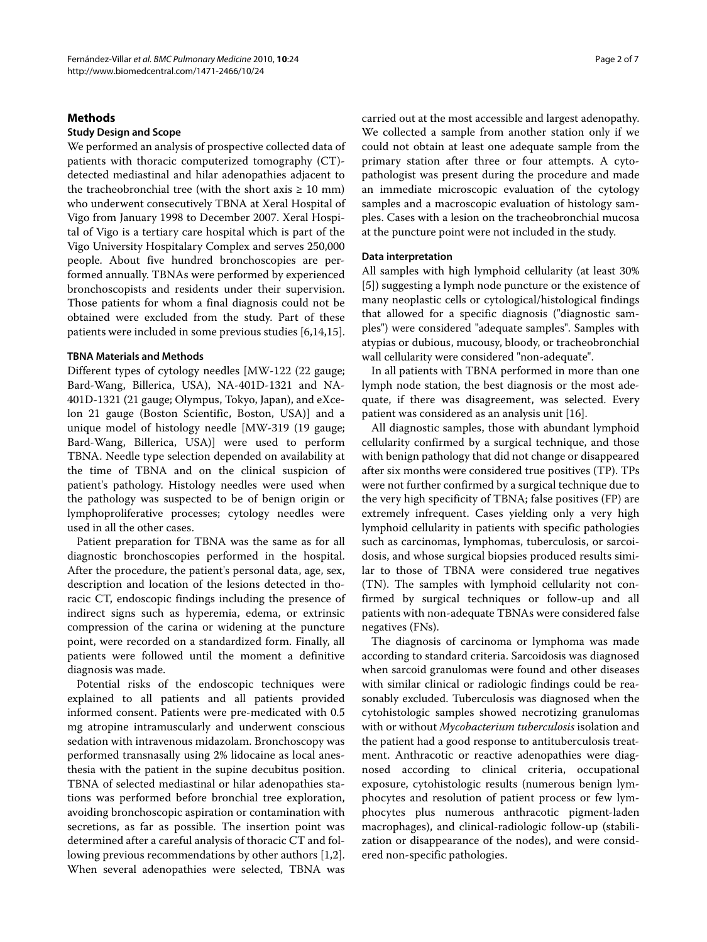# **Methods**

# **Study Design and Scope**

We performed an analysis of prospective collected data of patients with thoracic computerized tomography (CT) detected mediastinal and hilar adenopathies adjacent to the tracheobronchial tree (with the short axis  $\geq 10$  mm) who underwent consecutively TBNA at Xeral Hospital of Vigo from January 1998 to December 2007. Xeral Hospital of Vigo is a tertiary care hospital which is part of the Vigo University Hospitalary Complex and serves 250,000 people. About five hundred bronchoscopies are performed annually. TBNAs were performed by experienced bronchoscopists and residents under their supervision. Those patients for whom a final diagnosis could not be obtained were excluded from the study. Part of these patients were included in some previous studies [\[6](#page-6-4)[,14](#page-6-12)[,15](#page-6-13)].

#### **TBNA Materials and Methods**

Different types of cytology needles [MW-122 (22 gauge; Bard-Wang, Billerica, USA), NA-401D-1321 and NA-401D-1321 (21 gauge; Olympus, Tokyo, Japan), and eXcelon 21 gauge (Boston Scientific, Boston, USA)] and a unique model of histology needle [MW-319 (19 gauge; Bard-Wang, Billerica, USA)] were used to perform TBNA. Needle type selection depended on availability at the time of TBNA and on the clinical suspicion of patient's pathology. Histology needles were used when the pathology was suspected to be of benign origin or lymphoproliferative processes; cytology needles were used in all the other cases.

Patient preparation for TBNA was the same as for all diagnostic bronchoscopies performed in the hospital. After the procedure, the patient's personal data, age, sex, description and location of the lesions detected in thoracic CT, endoscopic findings including the presence of indirect signs such as hyperemia, edema, or extrinsic compression of the carina or widening at the puncture point, were recorded on a standardized form. Finally, all patients were followed until the moment a definitive diagnosis was made.

Potential risks of the endoscopic techniques were explained to all patients and all patients provided informed consent. Patients were pre-medicated with 0.5 mg atropine intramuscularly and underwent conscious sedation with intravenous midazolam. Bronchoscopy was performed transnasally using 2% lidocaine as local anesthesia with the patient in the supine decubitus position. TBNA of selected mediastinal or hilar adenopathies stations was performed before bronchial tree exploration, avoiding bronchoscopic aspiration or contamination with secretions, as far as possible. The insertion point was determined after a careful analysis of thoracic CT and following previous recommendations by other authors [\[1](#page-6-0)[,2](#page-6-1)]. When several adenopathies were selected, TBNA was carried out at the most accessible and largest adenopathy. We collected a sample from another station only if we could not obtain at least one adequate sample from the primary station after three or four attempts. A cytopathologist was present during the procedure and made an immediate microscopic evaluation of the cytology samples and a macroscopic evaluation of histology samples. Cases with a lesion on the tracheobronchial mucosa at the puncture point were not included in the study.

#### **Data interpretation**

All samples with high lymphoid cellularity (at least 30% [[5\]](#page-6-14)) suggesting a lymph node puncture or the existence of many neoplastic cells or cytological/histological findings that allowed for a specific diagnosis ("diagnostic samples") were considered "adequate samples". Samples with atypias or dubious, mucousy, bloody, or tracheobronchial wall cellularity were considered "non-adequate".

In all patients with TBNA performed in more than one lymph node station, the best diagnosis or the most adequate, if there was disagreement, was selected. Every patient was considered as an analysis unit [\[16](#page-6-15)].

All diagnostic samples, those with abundant lymphoid cellularity confirmed by a surgical technique, and those with benign pathology that did not change or disappeared after six months were considered true positives (TP). TPs were not further confirmed by a surgical technique due to the very high specificity of TBNA; false positives (FP) are extremely infrequent. Cases yielding only a very high lymphoid cellularity in patients with specific pathologies such as carcinomas, lymphomas, tuberculosis, or sarcoidosis, and whose surgical biopsies produced results similar to those of TBNA were considered true negatives (TN). The samples with lymphoid cellularity not confirmed by surgical techniques or follow-up and all patients with non-adequate TBNAs were considered false negatives (FNs).

The diagnosis of carcinoma or lymphoma was made according to standard criteria. Sarcoidosis was diagnosed when sarcoid granulomas were found and other diseases with similar clinical or radiologic findings could be reasonably excluded. Tuberculosis was diagnosed when the cytohistologic samples showed necrotizing granulomas with or without *Mycobacterium tuberculosis* isolation and the patient had a good response to antituberculosis treatment. Anthracotic or reactive adenopathies were diagnosed according to clinical criteria, occupational exposure, cytohistologic results (numerous benign lymphocytes and resolution of patient process or few lymphocytes plus numerous anthracotic pigment-laden macrophages), and clinical-radiologic follow-up (stabilization or disappearance of the nodes), and were considered non-specific pathologies.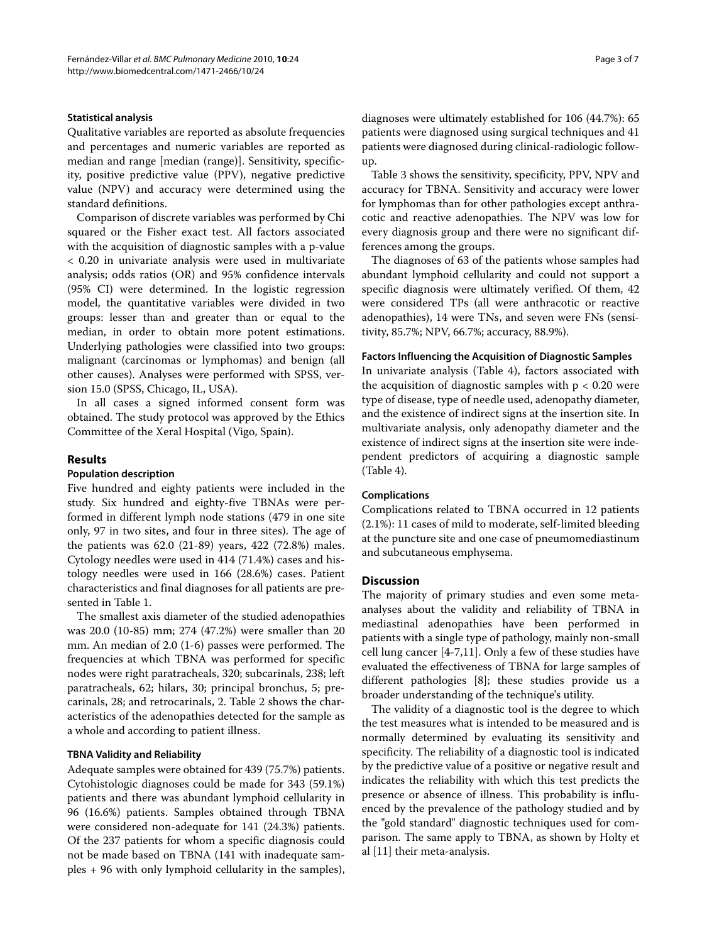# **Statistical analysis**

Qualitative variables are reported as absolute frequencies and percentages and numeric variables are reported as median and range [median (range)]. Sensitivity, specificity, positive predictive value (PPV), negative predictive value (NPV) and accuracy were determined using the standard definitions.

Comparison of discrete variables was performed by Chi squared or the Fisher exact test. All factors associated with the acquisition of diagnostic samples with a p-value < 0.20 in univariate analysis were used in multivariate analysis; odds ratios (OR) and 95% confidence intervals (95% CI) were determined. In the logistic regression model, the quantitative variables were divided in two groups: lesser than and greater than or equal to the median, in order to obtain more potent estimations. Underlying pathologies were classified into two groups: malignant (carcinomas or lymphomas) and benign (all other causes). Analyses were performed with SPSS, version 15.0 (SPSS, Chicago, IL, USA).

In all cases a signed informed consent form was obtained. The study protocol was approved by the Ethics Committee of the Xeral Hospital (Vigo, Spain).

# **Results**

# **Population description**

Five hundred and eighty patients were included in the study. Six hundred and eighty-five TBNAs were performed in different lymph node stations (479 in one site only, 97 in two sites, and four in three sites). The age of the patients was 62.0 (21-89) years, 422 (72.8%) males. Cytology needles were used in 414 (71.4%) cases and histology needles were used in 166 (28.6%) cases. Patient characteristics and final diagnoses for all patients are presented in Table 1.

The smallest axis diameter of the studied adenopathies was 20.0 (10-85) mm; 274 (47.2%) were smaller than 20 mm. An median of 2.0 (1-6) passes were performed. The frequencies at which TBNA was performed for specific nodes were right paratracheals, 320; subcarinals, 238; left paratracheals, 62; hilars, 30; principal bronchus, 5; precarinals, 28; and retrocarinals, 2. Table 2 shows the characteristics of the adenopathies detected for the sample as a whole and according to patient illness.

#### **TBNA Validity and Reliability**

Adequate samples were obtained for 439 (75.7%) patients. Cytohistologic diagnoses could be made for 343 (59.1%) patients and there was abundant lymphoid cellularity in 96 (16.6%) patients. Samples obtained through TBNA were considered non-adequate for 141 (24.3%) patients. Of the 237 patients for whom a specific diagnosis could not be made based on TBNA (141 with inadequate samples + 96 with only lymphoid cellularity in the samples),

diagnoses were ultimately established for 106 (44.7%): 65 patients were diagnosed using surgical techniques and 41 patients were diagnosed during clinical-radiologic followup.

Table [3](#page-4-0) shows the sensitivity, specificity, PPV, NPV and accuracy for TBNA. Sensitivity and accuracy were lower for lymphomas than for other pathologies except anthracotic and reactive adenopathies. The NPV was low for every diagnosis group and there were no significant differences among the groups.

The diagnoses of 63 of the patients whose samples had abundant lymphoid cellularity and could not support a specific diagnosis were ultimately verified. Of them, 42 were considered TPs (all were anthracotic or reactive adenopathies), 14 were TNs, and seven were FNs (sensitivity, 85.7%; NPV, 66.7%; accuracy, 88.9%).

#### **Factors Influencing the Acquisition of Diagnostic Samples**

In univariate analysis (Table 4), factors associated with the acquisition of diagnostic samples with  $p < 0.20$  were type of disease, type of needle used, adenopathy diameter, and the existence of indirect signs at the insertion site. In multivariate analysis, only adenopathy diameter and the existence of indirect signs at the insertion site were independent predictors of acquiring a diagnostic sample (Table 4).

#### **Complications**

Complications related to TBNA occurred in 12 patients (2.1%): 11 cases of mild to moderate, self-limited bleeding at the puncture site and one case of pneumomediastinum and subcutaneous emphysema.

#### **Discussion**

The majority of primary studies and even some metaanalyses about the validity and reliability of TBNA in mediastinal adenopathies have been performed in patients with a single type of pathology, mainly non-small cell lung cancer [\[4](#page-6-3)-[7,](#page-6-5)[11\]](#page-6-9). Only a few of these studies have evaluated the effectiveness of TBNA for large samples of different pathologies [\[8](#page-6-6)]; these studies provide us a broader understanding of the technique's utility.

The validity of a diagnostic tool is the degree to which the test measures what is intended to be measured and is normally determined by evaluating its sensitivity and specificity. The reliability of a diagnostic tool is indicated by the predictive value of a positive or negative result and indicates the reliability with which this test predicts the presence or absence of illness. This probability is influenced by the prevalence of the pathology studied and by the "gold standard" diagnostic techniques used for comparison. The same apply to TBNA, as shown by Holty et al [\[11](#page-6-9)] their meta-analysis.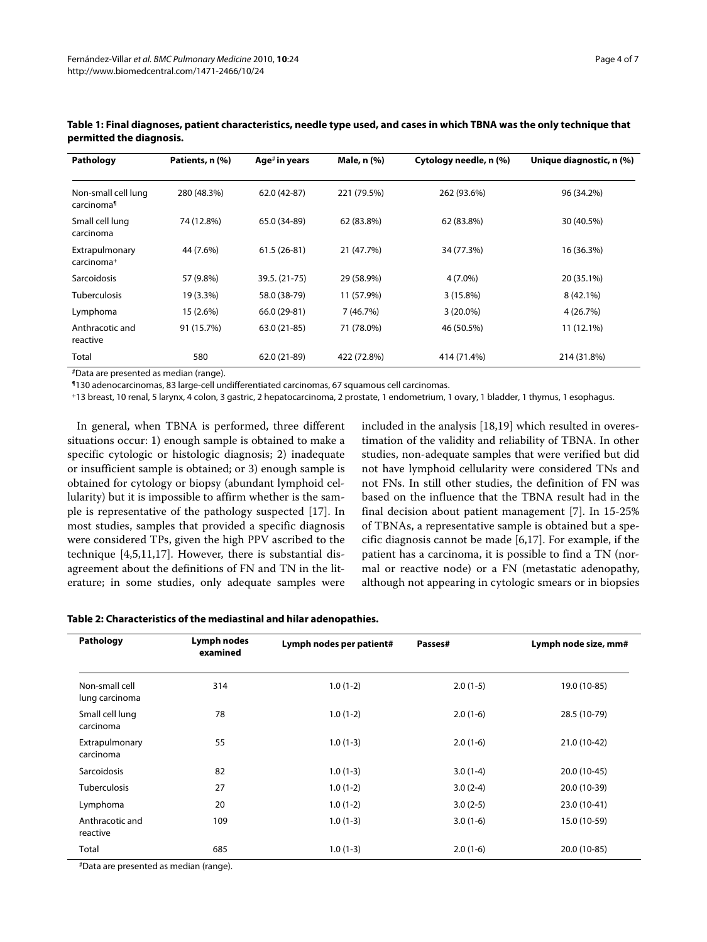| Pathology                                     | Patients, n (%) | Age# in years | Male, n (%) | Cytology needle, n (%) | Unique diagnostic, n (%) |
|-----------------------------------------------|-----------------|---------------|-------------|------------------------|--------------------------|
| Non-small cell lung<br>carcinoma <sup>1</sup> | 280 (48.3%)     | 62.0 (42-87)  | 221 (79.5%) | 262 (93.6%)            | 96 (34.2%)               |
| Small cell lung<br>carcinoma                  | 74 (12.8%)      | 65.0 (34-89)  | 62 (83.8%)  | 62 (83.8%)             | 30 (40.5%)               |
| Extrapulmonary<br>carcinoma <sup>+</sup>      | 44 (7.6%)       | $61.5(26-81)$ | 21 (47.7%)  | 34 (77.3%)             | 16 (36.3%)               |
| <b>Sarcoidosis</b>                            | 57 (9.8%)       | 39.5. (21-75) | 29 (58.9%)  | 4 (7.0%)               | 20 (35.1%)               |
| <b>Tuberculosis</b>                           | 19 (3.3%)       | 58.0 (38-79)  | 11 (57.9%)  | $3(15.8\%)$            | $8(42.1\%)$              |
| Lymphoma                                      | 15 (2.6%)       | 66.0 (29-81)  | 7 (46.7%)   | $3(20.0\%)$            | 4 (26.7%)                |
| Anthracotic and<br>reactive                   | 91 (15.7%)      | 63.0 (21-85)  | 71 (78.0%)  | 46 (50.5%)             | 11 (12.1%)               |
| Total                                         | 580             | 62.0 (21-89)  | 422 (72.8%) | 414 (71.4%)            | 214 (31.8%)              |

# **Table 1: Final diagnoses, patient characteristics, needle type used, and cases in which TBNA was the only technique that permitted the diagnosis.**

#Data are presented as median (range).

¶130 adenocarcinomas, 83 large-cell undifferentiated carcinomas, 67 squamous cell carcinomas.

+13 breast, 10 renal, 5 larynx, 4 colon, 3 gastric, 2 hepatocarcinoma, 2 prostate, 1 endometrium, 1 ovary, 1 bladder, 1 thymus, 1 esophagus.

In general, when TBNA is performed, three different situations occur: 1) enough sample is obtained to make a specific cytologic or histologic diagnosis; 2) inadequate or insufficient sample is obtained; or 3) enough sample is obtained for cytology or biopsy (abundant lymphoid cellularity) but it is impossible to affirm whether is the sample is representative of the pathology suspected [[17\]](#page-6-16). In most studies, samples that provided a specific diagnosis were considered TPs, given the high PPV ascribed to the technique [\[4](#page-6-3)[,5](#page-6-14),[11](#page-6-9),[17](#page-6-16)]. However, there is substantial disagreement about the definitions of FN and TN in the literature; in some studies, only adequate samples were included in the analysis [\[18](#page-6-17)[,19\]](#page-6-18) which resulted in overestimation of the validity and reliability of TBNA. In other studies, non-adequate samples that were verified but did not have lymphoid cellularity were considered TNs and not FNs. In still other studies, the definition of FN was based on the influence that the TBNA result had in the final decision about patient management [\[7](#page-6-5)]. In 15-25% of TBNAs, a representative sample is obtained but a specific diagnosis cannot be made [[6,](#page-6-4)[17\]](#page-6-16). For example, if the patient has a carcinoma, it is possible to find a TN (normal or reactive node) or a FN (metastatic adenopathy, although not appearing in cytologic smears or in biopsies

# **Table 2: Characteristics of the mediastinal and hilar adenopathies.**

| Pathology                        | Lymph nodes<br>examined | Lymph nodes per patient# | Passes#    | Lymph node size, mm# |
|----------------------------------|-------------------------|--------------------------|------------|----------------------|
| Non-small cell<br>lung carcinoma | 314                     | $1.0(1-2)$               | $2.0(1-5)$ | 19.0 (10-85)         |
| Small cell lung<br>carcinoma     | 78                      | $1.0(1-2)$               | $2.0(1-6)$ | 28.5 (10-79)         |
| Extrapulmonary<br>carcinoma      | 55                      | $1.0(1-3)$               | $2.0(1-6)$ | 21.0 (10-42)         |
| Sarcoidosis                      | 82                      | $1.0(1-3)$               | $3.0(1-4)$ | 20.0 (10-45)         |
| Tuberculosis                     | 27                      | $1.0(1-2)$               | $3.0(2-4)$ | 20.0 (10-39)         |
| Lymphoma                         | 20                      | $1.0(1-2)$               | $3.0(2-5)$ | 23.0 (10-41)         |
| Anthracotic and<br>reactive      | 109                     | $1.0(1-3)$               | $3.0(1-6)$ | 15.0 (10-59)         |
| Total                            | 685<br>$\sim$ $\sim$    | $1.0(1-3)$               | $2.0(1-6)$ | 20.0 (10-85)         |

#Data are presented as median (range).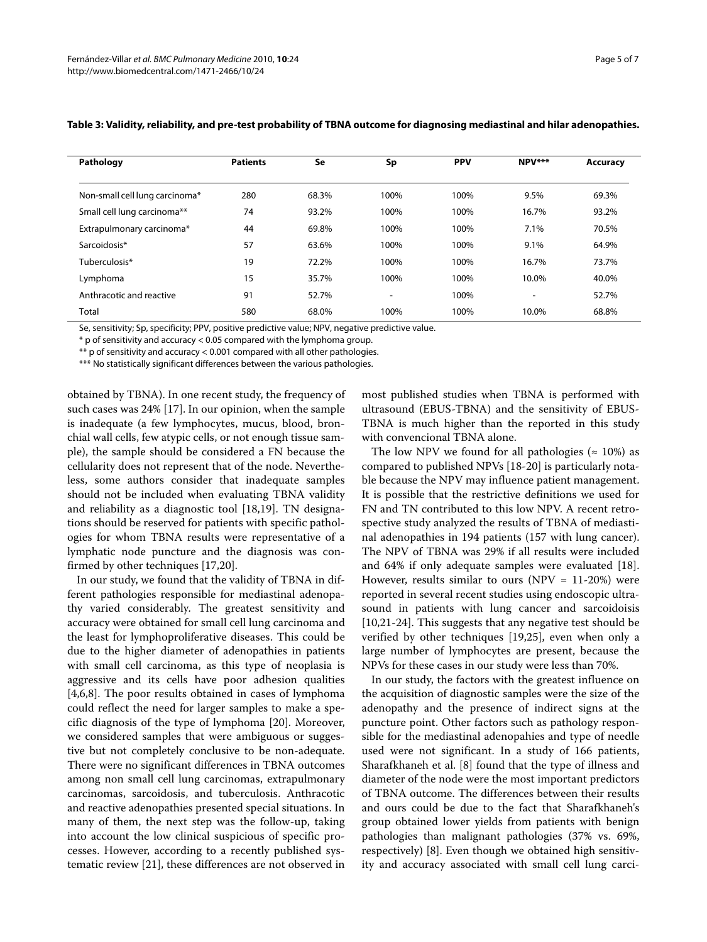| Pathology                      | <b>Patients</b> | Se    | Sp                       | <b>PPV</b> | NPV***  | Accuracy |
|--------------------------------|-----------------|-------|--------------------------|------------|---------|----------|
| Non-small cell lung carcinoma* | 280             | 68.3% | 100%                     | 100%       | 9.5%    | 69.3%    |
| Small cell lung carcinoma**    | 74              | 93.2% | 100%                     | 100%       | 16.7%   | 93.2%    |
| Extrapulmonary carcinoma*      | 44              | 69.8% | 100%                     | 100%       | $7.1\%$ | 70.5%    |
| Sarcoidosis*                   | 57              | 63.6% | 100%                     | 100%       | 9.1%    | 64.9%    |
| Tuberculosis*                  | 19              | 72.2% | 100%                     | 100%       | 16.7%   | 73.7%    |
| Lymphoma                       | 15              | 35.7% | 100%                     | 100%       | 10.0%   | 40.0%    |
| Anthracotic and reactive       | 91              | 52.7% | $\overline{\phantom{a}}$ | 100%       | Ξ.      | 52.7%    |
| Total                          | 580             | 68.0% | 100%                     | 100%       | 10.0%   | 68.8%    |

#### <span id="page-4-0"></span>**Table 3: Validity, reliability, and pre-test probability of TBNA outcome for diagnosing mediastinal and hilar adenopathies.**

Se, sensitivity; Sp, specificity; PPV, positive predictive value; NPV, negative predictive value.

\* p of sensitivity and accuracy < 0.05 compared with the lymphoma group.

\*\* p of sensitivity and accuracy < 0.001 compared with all other pathologies.

\*\*\* No statistically significant differences between the various pathologies.

obtained by TBNA). In one recent study, the frequency of such cases was 24% [\[17\]](#page-6-16). In our opinion, when the sample is inadequate (a few lymphocytes, mucus, blood, bronchial wall cells, few atypic cells, or not enough tissue sample), the sample should be considered a FN because the cellularity does not represent that of the node. Nevertheless, some authors consider that inadequate samples should not be included when evaluating TBNA validity and reliability as a diagnostic tool [\[18](#page-6-17)[,19\]](#page-6-18). TN designations should be reserved for patients with specific pathologies for whom TBNA results were representative of a lymphatic node puncture and the diagnosis was confirmed by other techniques [[17,](#page-6-16)[20\]](#page-6-19).

In our study, we found that the validity of TBNA in different pathologies responsible for mediastinal adenopathy varied considerably. The greatest sensitivity and accuracy were obtained for small cell lung carcinoma and the least for lymphoproliferative diseases. This could be due to the higher diameter of adenopathies in patients with small cell carcinoma, as this type of neoplasia is aggressive and its cells have poor adhesion qualities [[4,](#page-6-3)[6](#page-6-4)[,8](#page-6-6)]. The poor results obtained in cases of lymphoma could reflect the need for larger samples to make a specific diagnosis of the type of lymphoma [[20\]](#page-6-19). Moreover, we considered samples that were ambiguous or suggestive but not completely conclusive to be non-adequate. There were no significant differences in TBNA outcomes among non small cell lung carcinomas, extrapulmonary carcinomas, sarcoidosis, and tuberculosis. Anthracotic and reactive adenopathies presented special situations. In many of them, the next step was the follow-up, taking into account the low clinical suspicious of specific processes. However, according to a recently published systematic review [[21](#page-6-20)], these differences are not observed in

most published studies when TBNA is performed with ultrasound (EBUS-TBNA) and the sensitivity of EBUS-TBNA is much higher than the reported in this study with convencional TBNA alone.

The low NPV we found for all pathologies ( $\approx 10\%$ ) as compared to published NPVs [[18](#page-6-17)[-20\]](#page-6-19) is particularly notable because the NPV may influence patient management. It is possible that the restrictive definitions we used for FN and TN contributed to this low NPV. A recent retrospective study analyzed the results of TBNA of mediastinal adenopathies in 194 patients (157 with lung cancer). The NPV of TBNA was 29% if all results were included and 64% if only adequate samples were evaluated [\[18](#page-6-17)]. However, results similar to ours (NPV =  $11-20%$ ) were reported in several recent studies using endoscopic ultrasound in patients with lung cancer and sarcoidoisis [[10,](#page-6-8)[21](#page-6-20)[-24](#page-6-21)]. This suggests that any negative test should be verified by other techniques [\[19](#page-6-18)[,25](#page-6-22)], even when only a large number of lymphocytes are present, because the NPVs for these cases in our study were less than 70%.

In our study, the factors with the greatest influence on the acquisition of diagnostic samples were the size of the adenopathy and the presence of indirect signs at the puncture point. Other factors such as pathology responsible for the mediastinal adenopahies and type of needle used were not significant. In a study of 166 patients, Sharafkhaneh et al. [\[8\]](#page-6-6) found that the type of illness and diameter of the node were the most important predictors of TBNA outcome. The differences between their results and ours could be due to the fact that Sharafkhaneh's group obtained lower yields from patients with benign pathologies than malignant pathologies (37% vs. 69%, respectively) [\[8](#page-6-6)]. Even though we obtained high sensitivity and accuracy associated with small cell lung carci-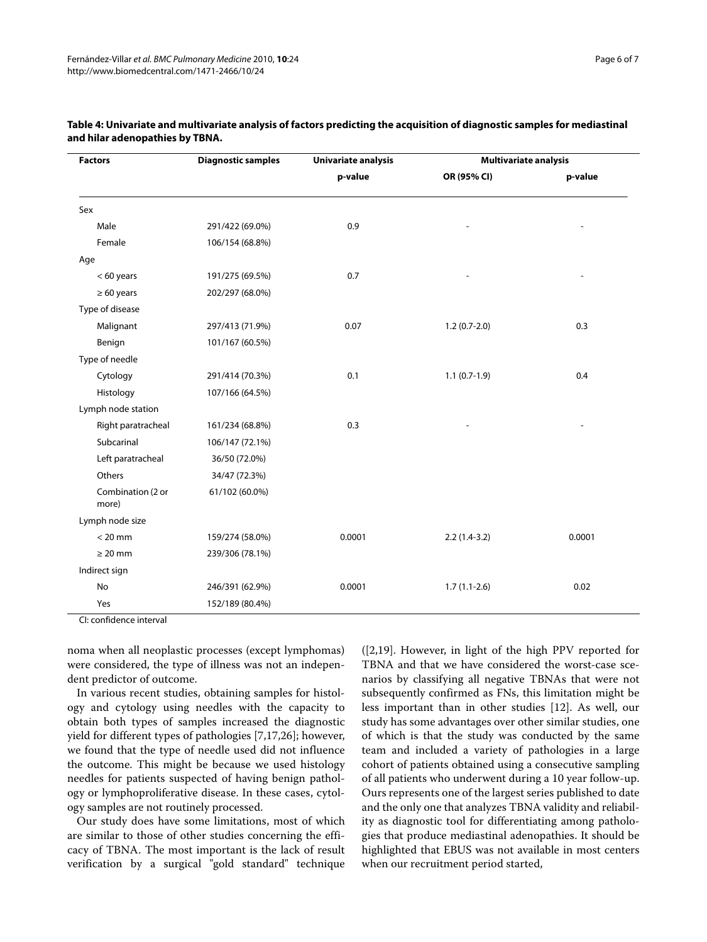| <b>Factors</b>             | <b>Diagnostic samples</b> | Univariate analysis | <b>Multivariate analysis</b> |         |
|----------------------------|---------------------------|---------------------|------------------------------|---------|
|                            |                           | p-value             | OR (95% CI)                  | p-value |
| Sex                        |                           |                     |                              |         |
| Male                       | 291/422 (69.0%)           | 0.9                 |                              |         |
| Female                     | 106/154 (68.8%)           |                     |                              |         |
| Age                        |                           |                     |                              |         |
| $< 60$ years               | 191/275 (69.5%)           | 0.7                 |                              |         |
| $\geq 60$ years            | 202/297 (68.0%)           |                     |                              |         |
| Type of disease            |                           |                     |                              |         |
| Malignant                  | 297/413 (71.9%)           | 0.07                | $1.2(0.7-2.0)$               | 0.3     |
| Benign                     | 101/167 (60.5%)           |                     |                              |         |
| Type of needle             |                           |                     |                              |         |
| Cytology                   | 291/414 (70.3%)           | 0.1                 | $1.1(0.7-1.9)$               | 0.4     |
| Histology                  | 107/166 (64.5%)           |                     |                              |         |
| Lymph node station         |                           |                     |                              |         |
| Right paratracheal         | 161/234 (68.8%)           | 0.3                 |                              |         |
| Subcarinal                 | 106/147 (72.1%)           |                     |                              |         |
| Left paratracheal          | 36/50 (72.0%)             |                     |                              |         |
| Others                     | 34/47 (72.3%)             |                     |                              |         |
| Combination (2 or<br>more) | 61/102 (60.0%)            |                     |                              |         |
| Lymph node size            |                           |                     |                              |         |
| $< 20$ mm                  | 159/274 (58.0%)           | 0.0001              | $2.2(1.4-3.2)$               | 0.0001  |
| $\geq 20$ mm               | 239/306 (78.1%)           |                     |                              |         |
| Indirect sign              |                           |                     |                              |         |
| <b>No</b>                  | 246/391 (62.9%)           | 0.0001              | $1.7(1.1-2.6)$               | 0.02    |
| Yes                        | 152/189 (80.4%)           |                     |                              |         |

| Table 4: Univariate and multivariate analysis of factors predicting the acquisition of diagnostic samples for mediastinal |  |
|---------------------------------------------------------------------------------------------------------------------------|--|
| and hilar adenopathies by TBNA.                                                                                           |  |

CI: confidence interval

noma when all neoplastic processes (except lymphomas) were considered, the type of illness was not an independent predictor of outcome.

In various recent studies, obtaining samples for histology and cytology using needles with the capacity to obtain both types of samples increased the diagnostic yield for different types of pathologies [\[7](#page-6-5)[,17](#page-6-16)[,26](#page-6-23)]; however, we found that the type of needle used did not influence the outcome. This might be because we used histology needles for patients suspected of having benign pathology or lymphoproliferative disease. In these cases, cytology samples are not routinely processed.

Our study does have some limitations, most of which are similar to those of other studies concerning the efficacy of TBNA. The most important is the lack of result verification by a surgical "gold standard" technique ([\[2](#page-6-1)[,19](#page-6-18)]. However, in light of the high PPV reported for TBNA and that we have considered the worst-case scenarios by classifying all negative TBNAs that were not subsequently confirmed as FNs, this limitation might be less important than in other studies [[12\]](#page-6-10). As well, our study has some advantages over other similar studies, one of which is that the study was conducted by the same team and included a variety of pathologies in a large cohort of patients obtained using a consecutive sampling of all patients who underwent during a 10 year follow-up. Ours represents one of the largest series published to date and the only one that analyzes TBNA validity and reliability as diagnostic tool for differentiating among pathologies that produce mediastinal adenopathies. It should be highlighted that EBUS was not available in most centers when our recruitment period started,